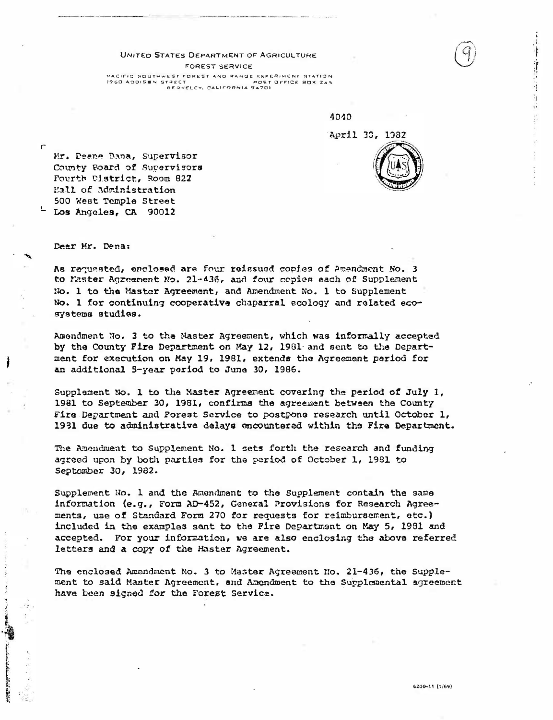## UNITED STATES DEPARTMENT OF AGRICULTURE FOREST SERVICE PACIFIC SOUTHWEST FOREST AND RANGE EXPERIMENT STATION 1960 ADDISON STREET POST OFFICE 80X 245<br>BERKELEY, CALIFORNIA 94701

4040

April 30, 1982



建催化性征

į.

Mr. Deane Dana, Supervisor County Poard of Supervisors Fourth District, Room 822 Eall of Administration 500 West Temple Street Los Angeles, CA 90012

Dear Mr. Dena:

 $\sqrt{ }$ 

As requested, enclosed are four reissued copies of Amendment No. 3 to Master Agreement No. 21-436, and four copies each of Supplement No. 1 to the Master Agreement, and Amendment No. 1 to Supplement No. 1 for continuing cooperative chaparral ecology and related ecosystems studies.

Amendment No. 3 to the Master Agreement, which was informally accepted by the County Fire Department on May 12, 1981 and sent to the Department for execution on May 19, 1981, extends the Agreement period for an additional 5-year period to June 30, 1986.

Supplement No. 1 to the Master Agreement covering the period of July 1, 1981 to September 30, 1981, confirms the agreement between the County Fire Department and Porest Service to postpone research until October 1, 1931 due to administrative delays encountered within the Fire Department.

The Amendment to Supplement No. 1 sets forth the research and funding agreed upon by both parties for the period of October 1, 1981 to September 30, 1982.

Supplement No. 1 and the Amendment to the Supplement contain the same information (e.g., Form AD-452, General Provisions for Research Agreements, use of Standard Form 270 for requests for reimbursement, etc.) included in the examples sant to the Fire Department on May 5, 1981 and accepted. For your information, we are also enclosing the above referred letters and a copy of the Haster Agreement.

The enclosed Amondment No. 3 to Master Agreement No. 21-436, the Supplement to said Master Agreement, and Amendment to the Supplemental agreement have been signed for the Forest Service.